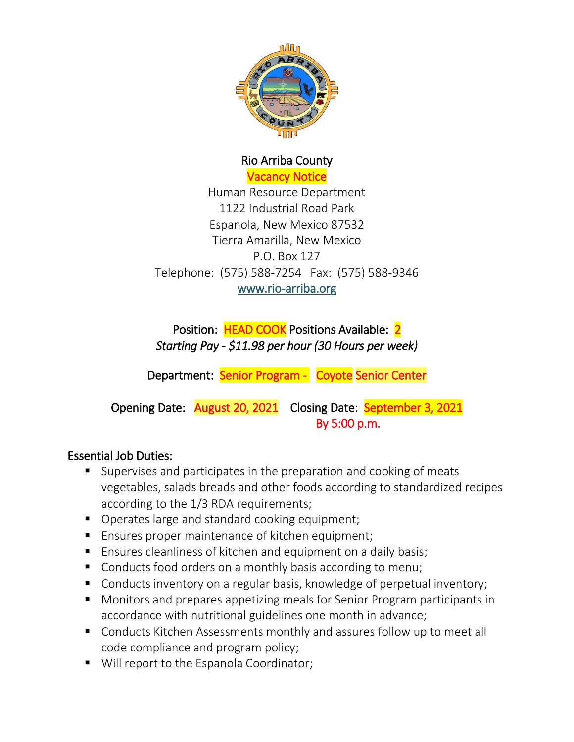

# Rio Arriba County Vacancy Notice

Human Resource Department 1122 Industrial Road Park Espanola, New Mexico 87532 Tierra Amarilla, New Mexico P.O. Box 127 Telephone: (575) 588-7254 Fax: (575) 588-9346 [www.rio-arriba.org](http://www.rio-arriba.org/)

Position: HEAD COOK Positions Available: 2 *Starting Pay - \$11.98 per hour (30 Hours per week)* 

Department: Senior Program - Coyote Senior Center

Opening Date: August 20, 2021 Closing Date: September 3, 2021 By 5:00 p.m.

## Essential Job Duties:

- Supervises and participates in the preparation and cooking of meats vegetables, salads breads and other foods according to standardized recipes according to the 1/3 RDA requirements;
- Operates large and standard cooking equipment;
- **Ensures proper maintenance of kitchen equipment;**
- **Ensures cleanliness of kitchen and equipment on a daily basis;**
- Conducts food orders on a monthly basis according to menu;
- Conducts inventory on a regular basis, knowledge of perpetual inventory;
- Monitors and prepares appetizing meals for Senior Program participants in accordance with nutritional guidelines one month in advance;
- Conducts Kitchen Assessments monthly and assures follow up to meet all code compliance and program policy;
- Will report to the Espanola Coordinator;